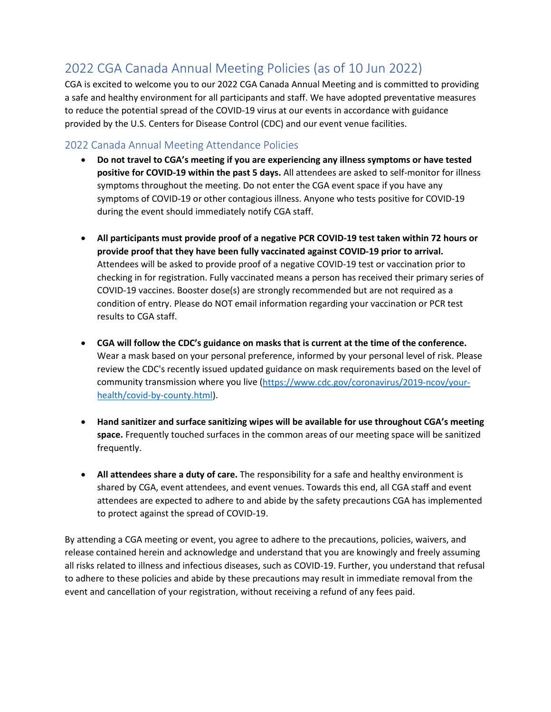## 2022 CGA Canada Annual Meeting Policies (as of 10 Jun 2022)

CGA is excited to welcome you to our 2022 CGA Canada Annual Meeting and is committed to providing a safe and healthy environment for all participants and staff. We have adopted preventative measures to reduce the potential spread of the COVID-19 virus at our events in accordance with guidance provided by the U.S. Centers for Disease Control (CDC) and our event venue facilities.

## 2022 Canada Annual Meeting Attendance Policies

- **Do not travel to CGA's meeting if you are experiencing any illness symptoms or have tested positive for COVID-19 within the past 5 days.** All attendees are asked to self-monitor for illness symptoms throughout the meeting. Do not enter the CGA event space if you have any symptoms of COVID-19 or other contagious illness. Anyone who tests positive for COVID-19 during the event should immediately notify CGA staff.
- **All participants must provide proof of a negative PCR COVID-19 test taken within 72 hours or provide proof that they have been fully vaccinated against COVID-19 prior to arrival.**  Attendees will be asked to provide proof of a negative COVID-19 test or vaccination prior to checking in for registration. Fully vaccinated means a person has received their primary series of COVID-19 vaccines. Booster dose(s) are strongly recommended but are not required as a condition of entry. Please do NOT email information regarding your vaccination or PCR test results to CGA staff.
- **CGA will follow the CDC's guidance on masks that is current at the time of the conference.**  Wear a mask based on your personal preference, informed by your personal level of risk. Please review the CDC's recently issued updated guidance on mask requirements based on the level of community transmission where you live [\(https://www.cdc.gov/coronavirus/2019-ncov/your](https://www.cdc.gov/coronavirus/2019-ncov/your-health/covid-by-county.html)[health/covid-by-county.html\)](https://www.cdc.gov/coronavirus/2019-ncov/your-health/covid-by-county.html).
- **Hand sanitizer and surface sanitizing wipes will be available for use throughout CGA's meeting space.** Frequently touched surfaces in the common areas of our meeting space will be sanitized frequently.
- **All attendees share a duty of care.** The responsibility for a safe and healthy environment is shared by CGA, event attendees, and event venues. Towards this end, all CGA staff and event attendees are expected to adhere to and abide by the safety precautions CGA has implemented to protect against the spread of COVID-19.

By attending a CGA meeting or event, you agree to adhere to the precautions, policies, waivers, and release contained herein and acknowledge and understand that you are knowingly and freely assuming all risks related to illness and infectious diseases, such as COVID-19. Further, you understand that refusal to adhere to these policies and abide by these precautions may result in immediate removal from the event and cancellation of your registration, without receiving a refund of any fees paid.